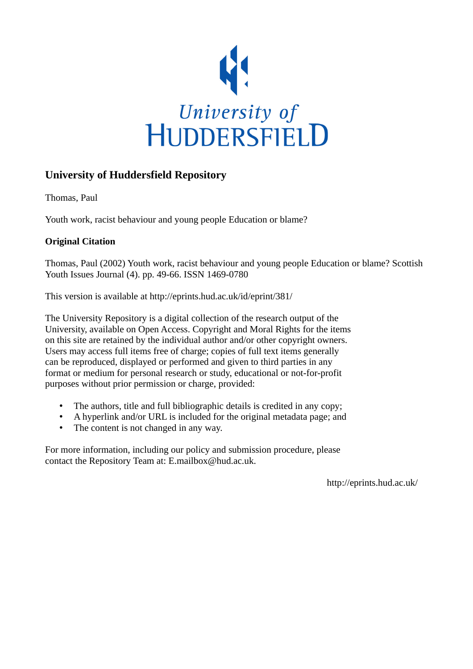

## **University of Huddersfield Repository**

Thomas, Paul

Youth work, racist behaviour and young people Education or blame?

### **Original Citation**

Thomas, Paul (2002) Youth work, racist behaviour and young people Education or blame? Scottish Youth Issues Journal (4). pp. 49-66. ISSN 1469-0780

This version is available at http://eprints.hud.ac.uk/id/eprint/381/

The University Repository is a digital collection of the research output of the University, available on Open Access. Copyright and Moral Rights for the items on this site are retained by the individual author and/or other copyright owners. Users may access full items free of charge; copies of full text items generally can be reproduced, displayed or performed and given to third parties in any format or medium for personal research or study, educational or not-for-profit purposes without prior permission or charge, provided:

- The authors, title and full bibliographic details is credited in any copy;
- A hyperlink and/or URL is included for the original metadata page; and
- The content is not changed in any way.

For more information, including our policy and submission procedure, please contact the Repository Team at: E.mailbox@hud.ac.uk.

http://eprints.hud.ac.uk/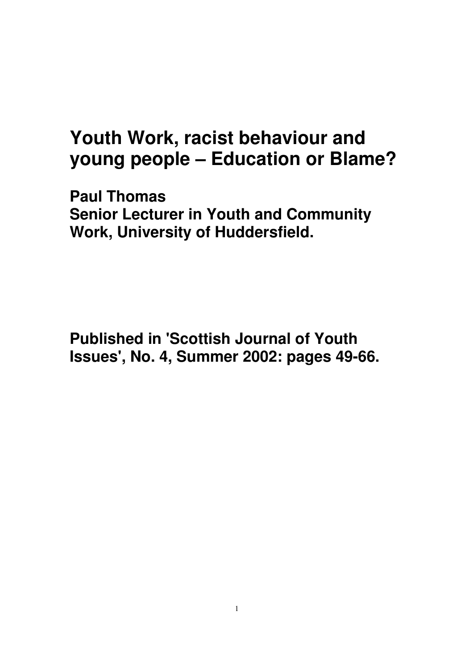# **Youth Work, racist behaviour and young people – Education or Blame?**

**Paul Thomas Senior Lecturer in Youth and Community Work, University of Huddersfield.** 

**Published in 'Scottish Journal of Youth Issues', No. 4, Summer 2002: pages 49-66.**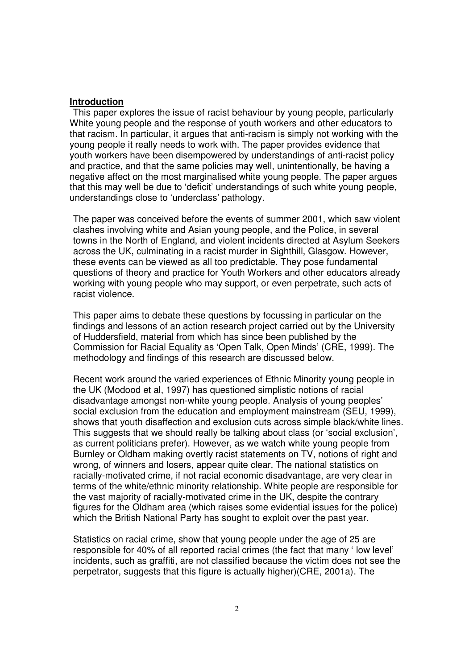#### **Introduction**

This paper explores the issue of racist behaviour by young people, particularly White young people and the response of youth workers and other educators to that racism. In particular, it argues that anti-racism is simply not working with the young people it really needs to work with. The paper provides evidence that youth workers have been disempowered by understandings of anti-racist policy and practice, and that the same policies may well, unintentionally, be having a negative affect on the most marginalised white young people. The paper argues that this may well be due to 'deficit' understandings of such white young people, understandings close to 'underclass' pathology.

The paper was conceived before the events of summer 2001, which saw violent clashes involving white and Asian young people, and the Police, in several towns in the North of England, and violent incidents directed at Asylum Seekers across the UK, culminating in a racist murder in Sighthill, Glasgow. However, these events can be viewed as all too predictable. They pose fundamental questions of theory and practice for Youth Workers and other educators already working with young people who may support, or even perpetrate, such acts of racist violence.

This paper aims to debate these questions by focussing in particular on the findings and lessons of an action research project carried out by the University of Huddersfield, material from which has since been published by the Commission for Racial Equality as 'Open Talk, Open Minds' (CRE, 1999). The methodology and findings of this research are discussed below.

Recent work around the varied experiences of Ethnic Minority young people in the UK (Modood et al, 1997) has questioned simplistic notions of racial disadvantage amongst non-white young people. Analysis of young peoples' social exclusion from the education and employment mainstream (SEU, 1999), shows that youth disaffection and exclusion cuts across simple black/white lines. This suggests that we should really be talking about class (or 'social exclusion', as current politicians prefer). However, as we watch white young people from Burnley or Oldham making overtly racist statements on TV, notions of right and wrong, of winners and losers, appear quite clear. The national statistics on racially-motivated crime, if not racial economic disadvantage, are very clear in terms of the white/ethnic minority relationship. White people are responsible for the vast majority of racially-motivated crime in the UK, despite the contrary figures for the Oldham area (which raises some evidential issues for the police) which the British National Party has sought to exploit over the past year.

Statistics on racial crime, show that young people under the age of 25 are responsible for 40% of all reported racial crimes (the fact that many ' low level' incidents, such as graffiti, are not classified because the victim does not see the perpetrator, suggests that this figure is actually higher)(CRE, 2001a). The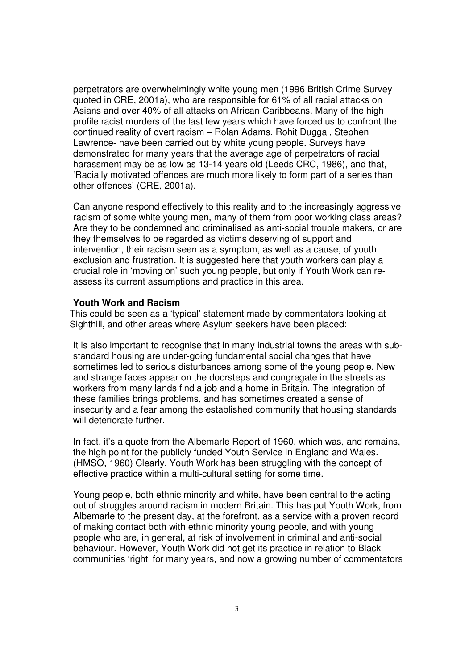perpetrators are overwhelmingly white young men (1996 British Crime Survey quoted in CRE, 2001a), who are responsible for 61% of all racial attacks on Asians and over 40% of all attacks on African-Caribbeans. Many of the highprofile racist murders of the last few years which have forced us to confront the continued reality of overt racism – Rolan Adams. Rohit Duggal, Stephen Lawrence- have been carried out by white young people. Surveys have demonstrated for many years that the average age of perpetrators of racial harassment may be as low as 13-14 years old (Leeds CRC, 1986), and that, 'Racially motivated offences are much more likely to form part of a series than other offences' (CRE, 2001a).

Can anyone respond effectively to this reality and to the increasingly aggressive racism of some white young men, many of them from poor working class areas? Are they to be condemned and criminalised as anti-social trouble makers, or are they themselves to be regarded as victims deserving of support and intervention, their racism seen as a symptom, as well as a cause, of youth exclusion and frustration. It is suggested here that youth workers can play a crucial role in 'moving on' such young people, but only if Youth Work can reassess its current assumptions and practice in this area.

#### **Youth Work and Racism**

This could be seen as a 'typical' statement made by commentators looking at Sighthill, and other areas where Asylum seekers have been placed:

It is also important to recognise that in many industrial towns the areas with substandard housing are under-going fundamental social changes that have sometimes led to serious disturbances among some of the young people. New and strange faces appear on the doorsteps and congregate in the streets as workers from many lands find a job and a home in Britain. The integration of these families brings problems, and has sometimes created a sense of insecurity and a fear among the established community that housing standards will deteriorate further.

In fact, it's a quote from the Albemarle Report of 1960, which was, and remains, the high point for the publicly funded Youth Service in England and Wales. (HMSO, 1960) Clearly, Youth Work has been struggling with the concept of effective practice within a multi-cultural setting for some time.

Young people, both ethnic minority and white, have been central to the acting out of struggles around racism in modern Britain. This has put Youth Work, from Albemarle to the present day, at the forefront, as a service with a proven record of making contact both with ethnic minority young people, and with young people who are, in general, at risk of involvement in criminal and anti-social behaviour. However, Youth Work did not get its practice in relation to Black communities 'right' for many years, and now a growing number of commentators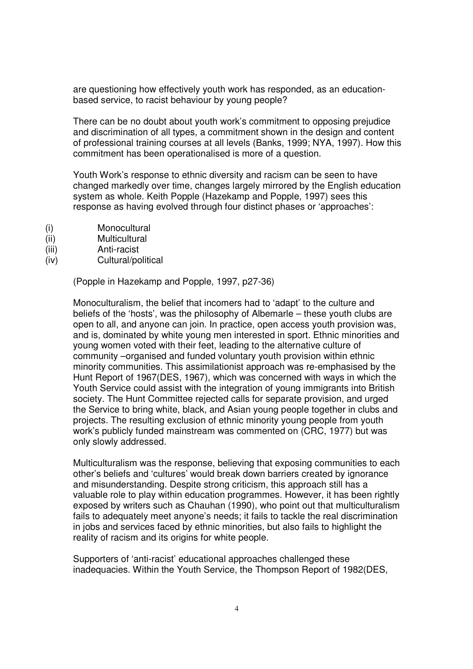are questioning how effectively youth work has responded, as an educationbased service, to racist behaviour by young people?

There can be no doubt about youth work's commitment to opposing prejudice and discrimination of all types, a commitment shown in the design and content of professional training courses at all levels (Banks, 1999; NYA, 1997). How this commitment has been operationalised is more of a question.

Youth Work's response to ethnic diversity and racism can be seen to have changed markedly over time, changes largely mirrored by the English education system as whole. Keith Popple (Hazekamp and Popple, 1997) sees this response as having evolved through four distinct phases or 'approaches':

- (i) Monocultural
- (ii) Multicultural
- (iii) Anti-racist
- (iv) Cultural/political

(Popple in Hazekamp and Popple, 1997, p27-36)

Monoculturalism, the belief that incomers had to 'adapt' to the culture and beliefs of the 'hosts', was the philosophy of Albemarle – these youth clubs are open to all, and anyone can join. In practice, open access youth provision was, and is, dominated by white young men interested in sport. Ethnic minorities and young women voted with their feet, leading to the alternative culture of community –organised and funded voluntary youth provision within ethnic minority communities. This assimilationist approach was re-emphasised by the Hunt Report of 1967(DES, 1967), which was concerned with ways in which the Youth Service could assist with the integration of young immigrants into British society. The Hunt Committee rejected calls for separate provision, and urged the Service to bring white, black, and Asian young people together in clubs and projects. The resulting exclusion of ethnic minority young people from youth work's publicly funded mainstream was commented on (CRC, 1977) but was only slowly addressed.

Multiculturalism was the response, believing that exposing communities to each other's beliefs and 'cultures' would break down barriers created by ignorance and misunderstanding. Despite strong criticism, this approach still has a valuable role to play within education programmes. However, it has been rightly exposed by writers such as Chauhan (1990), who point out that multiculturalism fails to adequately meet anyone's needs; it fails to tackle the real discrimination in jobs and services faced by ethnic minorities, but also fails to highlight the reality of racism and its origins for white people.

Supporters of 'anti-racist' educational approaches challenged these inadequacies. Within the Youth Service, the Thompson Report of 1982(DES,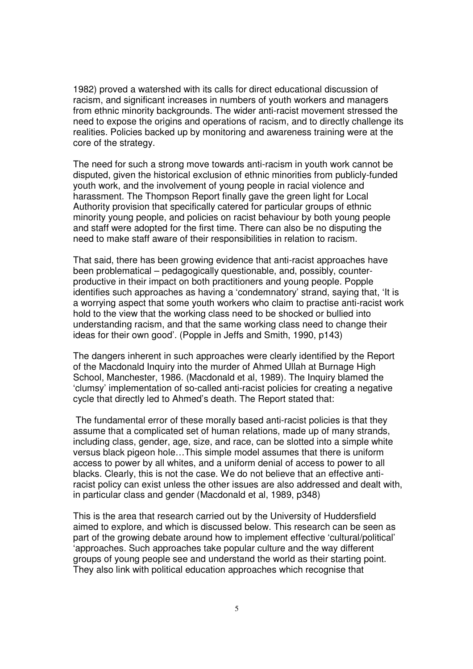1982) proved a watershed with its calls for direct educational discussion of racism, and significant increases in numbers of youth workers and managers from ethnic minority backgrounds. The wider anti-racist movement stressed the need to expose the origins and operations of racism, and to directly challenge its realities. Policies backed up by monitoring and awareness training were at the core of the strategy.

The need for such a strong move towards anti-racism in youth work cannot be disputed, given the historical exclusion of ethnic minorities from publicly-funded youth work, and the involvement of young people in racial violence and harassment. The Thompson Report finally gave the green light for Local Authority provision that specifically catered for particular groups of ethnic minority young people, and policies on racist behaviour by both young people and staff were adopted for the first time. There can also be no disputing the need to make staff aware of their responsibilities in relation to racism.

That said, there has been growing evidence that anti-racist approaches have been problematical – pedagogically questionable, and, possibly, counterproductive in their impact on both practitioners and young people. Popple identifies such approaches as having a 'condemnatory' strand, saying that, 'It is a worrying aspect that some youth workers who claim to practise anti-racist work hold to the view that the working class need to be shocked or bullied into understanding racism, and that the same working class need to change their ideas for their own good'. (Popple in Jeffs and Smith, 1990, p143)

The dangers inherent in such approaches were clearly identified by the Report of the Macdonald Inquiry into the murder of Ahmed Ullah at Burnage High School, Manchester, 1986. (Macdonald et al, 1989). The Inquiry blamed the 'clumsy' implementation of so-called anti-racist policies for creating a negative cycle that directly led to Ahmed's death. The Report stated that:

 The fundamental error of these morally based anti-racist policies is that they assume that a complicated set of human relations, made up of many strands, including class, gender, age, size, and race, can be slotted into a simple white versus black pigeon hole…This simple model assumes that there is uniform access to power by all whites, and a uniform denial of access to power to all blacks. Clearly, this is not the case. We do not believe that an effective antiracist policy can exist unless the other issues are also addressed and dealt with, in particular class and gender (Macdonald et al, 1989, p348)

This is the area that research carried out by the University of Huddersfield aimed to explore, and which is discussed below. This research can be seen as part of the growing debate around how to implement effective 'cultural/political' 'approaches. Such approaches take popular culture and the way different groups of young people see and understand the world as their starting point. They also link with political education approaches which recognise that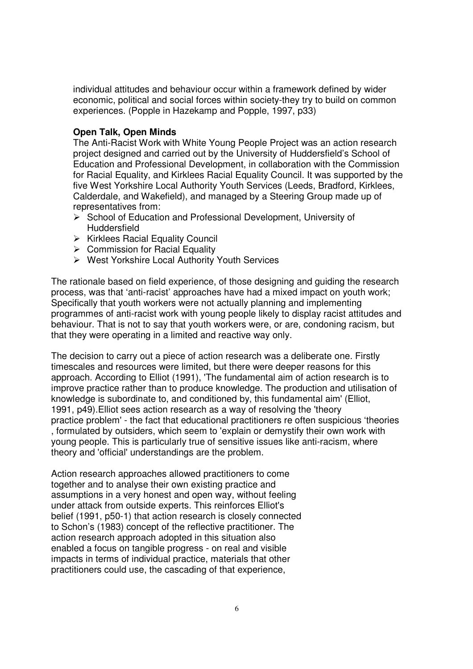individual attitudes and behaviour occur within a framework defined by wider economic, political and social forces within society-they try to build on common experiences. (Popple in Hazekamp and Popple, 1997, p33)

#### **Open Talk, Open Minds**

The Anti-Racist Work with White Young People Project was an action research project designed and carried out by the University of Huddersfield's School of Education and Professional Development, in collaboration with the Commission for Racial Equality, and Kirklees Racial Equality Council. It was supported by the five West Yorkshire Local Authority Youth Services (Leeds, Bradford, Kirklees, Calderdale, and Wakefield), and managed by a Steering Group made up of representatives from:

- $\triangleright$  School of Education and Professional Development, University of **Huddersfield**
- $\triangleright$  Kirklees Racial Equality Council
- $\triangleright$  Commission for Racial Equality
- West Yorkshire Local Authority Youth Services

The rationale based on field experience, of those designing and guiding the research process, was that 'anti-racist' approaches have had a mixed impact on youth work; Specifically that youth workers were not actually planning and implementing programmes of anti-racist work with young people likely to display racist attitudes and behaviour. That is not to say that youth workers were, or are, condoning racism, but that they were operating in a limited and reactive way only.

The decision to carry out a piece of action research was a deliberate one. Firstly timescales and resources were limited, but there were deeper reasons for this approach. According to Elliot (1991), 'The fundamental aim of action research is to improve practice rather than to produce knowledge. The production and utilisation of knowledge is subordinate to, and conditioned by, this fundamental aim' (Elliot, 1991, p49).Elliot sees action research as a way of resolving the 'theory practice problem' - the fact that educational practitioners re often suspicious 'theories , formulated by outsiders, which seem to 'explain or demystify their own work with young people. This is particularly true of sensitive issues like anti-racism, where theory and 'official' understandings are the problem.

Action research approaches allowed practitioners to come together and to analyse their own existing practice and assumptions in a very honest and open way, without feeling under attack from outside experts. This reinforces Elliot's belief (1991, p50-1) that action research is closely connected to Schon's (1983) concept of the reflective practitioner. The action research approach adopted in this situation also enabled a focus on tangible progress - on real and visible impacts in terms of individual practice, materials that other practitioners could use, the cascading of that experience,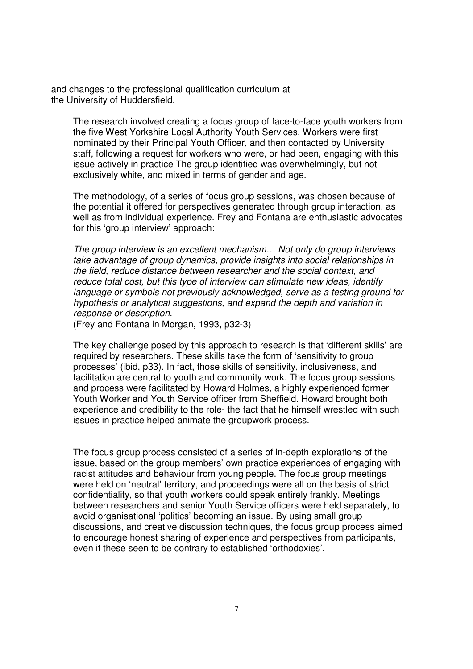and changes to the professional qualification curriculum at the University of Huddersfield.

The research involved creating a focus group of face-to-face youth workers from the five West Yorkshire Local Authority Youth Services. Workers were first nominated by their Principal Youth Officer, and then contacted by University staff, following a request for workers who were, or had been, engaging with this issue actively in practice The group identified was overwhelmingly, but not exclusively white, and mixed in terms of gender and age.

The methodology, of a series of focus group sessions, was chosen because of the potential it offered for perspectives generated through group interaction, as well as from individual experience. Frey and Fontana are enthusiastic advocates for this 'group interview' approach:

The group interview is an excellent mechanism… Not only do group interviews take advantage of group dynamics, provide insights into social relationships in the field, reduce distance between researcher and the social context, and reduce total cost, but this type of interview can stimulate new ideas, identify language or symbols not previously acknowledged, serve as a testing ground for hypothesis or analytical suggestions, and expand the depth and variation in response or description.

(Frey and Fontana in Morgan, 1993, p32-3)

The key challenge posed by this approach to research is that 'different skills' are required by researchers. These skills take the form of 'sensitivity to group processes' (ibid, p33). In fact, those skills of sensitivity, inclusiveness, and facilitation are central to youth and community work. The focus group sessions and process were facilitated by Howard Holmes, a highly experienced former Youth Worker and Youth Service officer from Sheffield. Howard brought both experience and credibility to the role- the fact that he himself wrestled with such issues in practice helped animate the groupwork process.

The focus group process consisted of a series of in-depth explorations of the issue, based on the group members' own practice experiences of engaging with racist attitudes and behaviour from young people. The focus group meetings were held on 'neutral' territory, and proceedings were all on the basis of strict confidentiality, so that youth workers could speak entirely frankly. Meetings between researchers and senior Youth Service officers were held separately, to avoid organisational 'politics' becoming an issue. By using small group discussions, and creative discussion techniques, the focus group process aimed to encourage honest sharing of experience and perspectives from participants, even if these seen to be contrary to established 'orthodoxies'.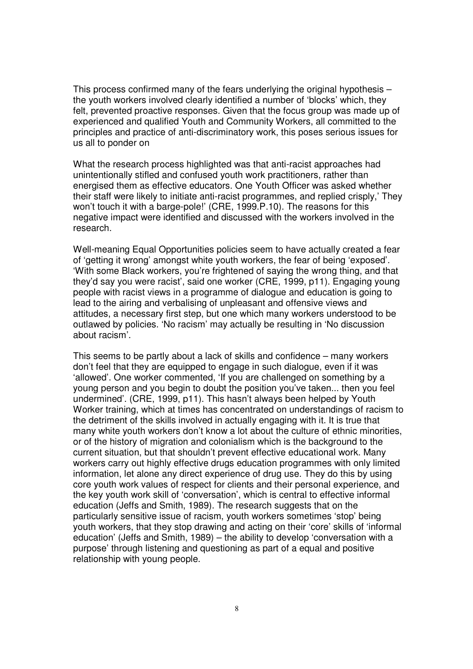This process confirmed many of the fears underlying the original hypothesis – the youth workers involved clearly identified a number of 'blocks' which, they felt, prevented proactive responses. Given that the focus group was made up of experienced and qualified Youth and Community Workers, all committed to the principles and practice of anti-discriminatory work, this poses serious issues for us all to ponder on

What the research process highlighted was that anti-racist approaches had unintentionally stifled and confused youth work practitioners, rather than energised them as effective educators. One Youth Officer was asked whether their staff were likely to initiate anti-racist programmes, and replied crisply,' They won't touch it with a barge-pole!' (CRE, 1999.P.10). The reasons for this negative impact were identified and discussed with the workers involved in the research.

Well-meaning Equal Opportunities policies seem to have actually created a fear of 'getting it wrong' amongst white youth workers, the fear of being 'exposed'. 'With some Black workers, you're frightened of saying the wrong thing, and that they'd say you were racist', said one worker (CRE, 1999, p11). Engaging young people with racist views in a programme of dialogue and education is going to lead to the airing and verbalising of unpleasant and offensive views and attitudes, a necessary first step, but one which many workers understood to be outlawed by policies. 'No racism' may actually be resulting in 'No discussion about racism'.

This seems to be partly about a lack of skills and confidence – many workers don't feel that they are equipped to engage in such dialogue, even if it was 'allowed'. One worker commented, 'If you are challenged on something by a young person and you begin to doubt the position you've taken... then you feel undermined'. (CRE, 1999, p11). This hasn't always been helped by Youth Worker training, which at times has concentrated on understandings of racism to the detriment of the skills involved in actually engaging with it. It is true that many white youth workers don't know a lot about the culture of ethnic minorities, or of the history of migration and colonialism which is the background to the current situation, but that shouldn't prevent effective educational work. Many workers carry out highly effective drugs education programmes with only limited information, let alone any direct experience of drug use. They do this by using core youth work values of respect for clients and their personal experience, and the key youth work skill of 'conversation', which is central to effective informal education (Jeffs and Smith, 1989). The research suggests that on the particularly sensitive issue of racism, youth workers sometimes 'stop' being youth workers, that they stop drawing and acting on their 'core' skills of 'informal education' (Jeffs and Smith, 1989) – the ability to develop 'conversation with a purpose' through listening and questioning as part of a equal and positive relationship with young people.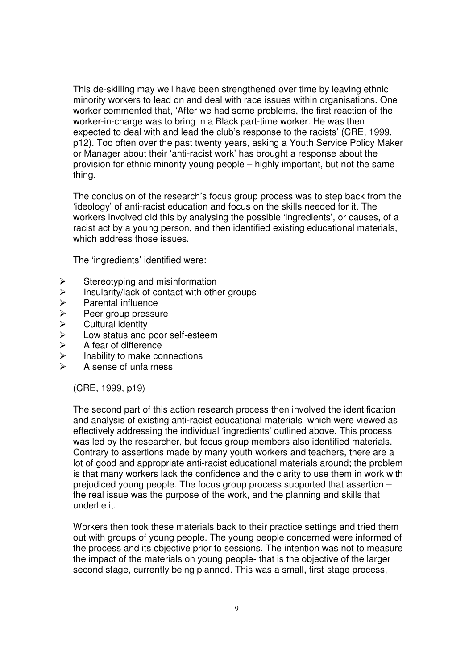This de-skilling may well have been strengthened over time by leaving ethnic minority workers to lead on and deal with race issues within organisations. One worker commented that, 'After we had some problems, the first reaction of the worker-in-charge was to bring in a Black part-time worker. He was then expected to deal with and lead the club's response to the racists' (CRE, 1999, p12). Too often over the past twenty years, asking a Youth Service Policy Maker or Manager about their 'anti-racist work' has brought a response about the provision for ethnic minority young people – highly important, but not the same thing.

The conclusion of the research's focus group process was to step back from the 'ideology' of anti-racist education and focus on the skills needed for it. The workers involved did this by analysing the possible 'ingredients', or causes, of a racist act by a young person, and then identified existing educational materials, which address those issues.

The 'ingredients' identified were:

- $\triangleright$  Stereotyping and misinformation<br> $\triangleright$  Insularity/lack of contact with other
- $\geq$  Insularity/lack of contact with other groups<br>  $\geq$  Parental influence
- 
- > Parental influence<br>
> Peer group pressu<br>
Cultural identity<br>
> Low status and po<br>
> A fear of difference Peer group pressure
- Cultural identity
- Low status and poor self-esteem
- $\triangleright$  A fear of difference<br> $\triangleright$  Inability to make co
- Inability to make connections
- A sense of unfairness

(CRE, 1999, p19)

The second part of this action research process then involved the identification and analysis of existing anti-racist educational materials which were viewed as effectively addressing the individual 'ingredients' outlined above. This process was led by the researcher, but focus group members also identified materials. Contrary to assertions made by many youth workers and teachers, there are a lot of good and appropriate anti-racist educational materials around; the problem is that many workers lack the confidence and the clarity to use them in work with prejudiced young people. The focus group process supported that assertion – the real issue was the purpose of the work, and the planning and skills that underlie it.

Workers then took these materials back to their practice settings and tried them out with groups of young people. The young people concerned were informed of the process and its objective prior to sessions. The intention was not to measure the impact of the materials on young people- that is the objective of the larger second stage, currently being planned. This was a small, first-stage process,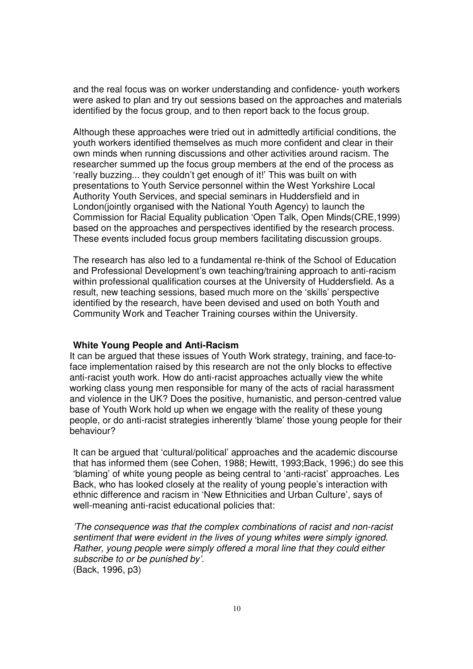and the real focus was on worker understanding and confidence- youth workers were asked to plan and try out sessions based on the approaches and materials identified by the focus group, and to then report back to the focus group.

Although these approaches were tried out in admittedly artificial conditions, the youth workers identified themselves as much more confident and clear in their own minds when running discussions and other activities around racism. The researcher summed up the focus group members at the end of the process as 'really buzzing... they couldn't get enough of it!' This was built on with presentations to Youth Service personnel within the West Yorkshire Local Authority Youth Services, and special seminars in Huddersfield and in London(jointly organised with the National Youth Agency) to launch the Commission for Racial Equality publication 'Open Talk, Open Minds(CRE,1999) based on the approaches and perspectives identified by the research process. These events included focus group members facilitating discussion groups.

The research has also led to a fundamental re-think of the School of Education and Professional Development's own teaching/training approach to anti-racism within professional qualification courses at the University of Huddersfield. As a result, new teaching sessions, based much more on the 'skills' perspective identified by the research, have been devised and used on both Youth and Community Work and Teacher Training courses within the University.

#### **White Young People and Anti-Racism**

It can be argued that these issues of Youth Work strategy, training, and face-toface implementation raised by this research are not the only blocks to effective anti-racist youth work. How do anti-racist approaches actually view the white working class young men responsible for many of the acts of racial harassment and violence in the UK? Does the positive, humanistic, and person-centred value base of Youth Work hold up when we engage with the reality of these young people, or do anti-racist strategies inherently 'blame' those young people for their behaviour?

It can be argued that 'cultural/political' approaches and the academic discourse that has informed them (see Cohen, 1988; Hewitt, 1993;Back, 1996;) do see this 'blaming' of white young people as being central to 'anti-racist' approaches. Les Back, who has looked closely at the reality of young people's interaction with ethnic difference and racism in 'New Ethnicities and Urban Culture', says of well-meaning anti-racist educational policies that:

'The consequence was that the complex combinations of racist and non-racist sentiment that were evident in the lives of young whites were simply ignored. Rather, young people were simply offered a moral line that they could either subscribe to or be punished by'. (Back, 1996, p3)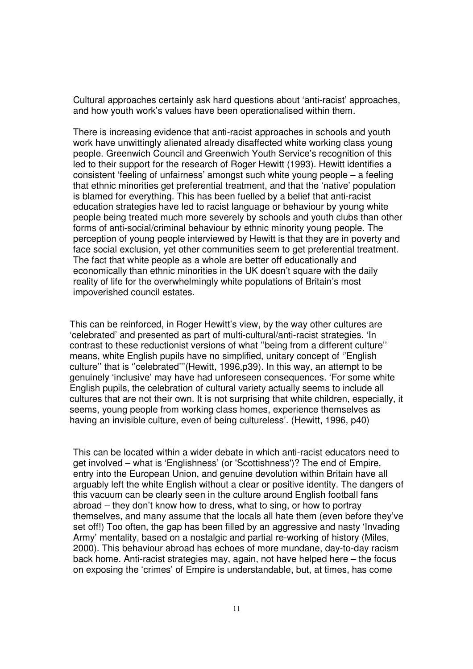Cultural approaches certainly ask hard questions about 'anti-racist' approaches, and how youth work's values have been operationalised within them.

There is increasing evidence that anti-racist approaches in schools and youth work have unwittingly alienated already disaffected white working class young people. Greenwich Council and Greenwich Youth Service's recognition of this led to their support for the research of Roger Hewitt (1993). Hewitt identifies a consistent 'feeling of unfairness' amongst such white young people – a feeling that ethnic minorities get preferential treatment, and that the 'native' population is blamed for everything. This has been fuelled by a belief that anti-racist education strategies have led to racist language or behaviour by young white people being treated much more severely by schools and youth clubs than other forms of anti-social/criminal behaviour by ethnic minority young people. The perception of young people interviewed by Hewitt is that they are in poverty and face social exclusion, yet other communities seem to get preferential treatment. The fact that white people as a whole are better off educationally and economically than ethnic minorities in the UK doesn't square with the daily reality of life for the overwhelmingly white populations of Britain's most impoverished council estates.

This can be reinforced, in Roger Hewitt's view, by the way other cultures are 'celebrated' and presented as part of multi-cultural/anti-racist strategies. 'In contrast to these reductionist versions of what ''being from a different culture'' means, white English pupils have no simplified, unitary concept of ''English culture'' that is ''celebrated'''(Hewitt, 1996,p39). In this way, an attempt to be genuinely 'inclusive' may have had unforeseen consequences. 'For some white English pupils, the celebration of cultural variety actually seems to include all cultures that are not their own. It is not surprising that white children, especially, it seems, young people from working class homes, experience themselves as having an invisible culture, even of being cultureless'. (Hewitt, 1996, p40)

This can be located within a wider debate in which anti-racist educators need to get involved – what is 'Englishness' (or 'Scottishness')? The end of Empire, entry into the European Union, and genuine devolution within Britain have all arguably left the white English without a clear or positive identity. The dangers of this vacuum can be clearly seen in the culture around English football fans abroad – they don't know how to dress, what to sing, or how to portray themselves, and many assume that the locals all hate them (even before they've set off!) Too often, the gap has been filled by an aggressive and nasty 'Invading Army' mentality, based on a nostalgic and partial re-working of history (Miles, 2000). This behaviour abroad has echoes of more mundane, day-to-day racism back home. Anti-racist strategies may, again, not have helped here – the focus on exposing the 'crimes' of Empire is understandable, but, at times, has come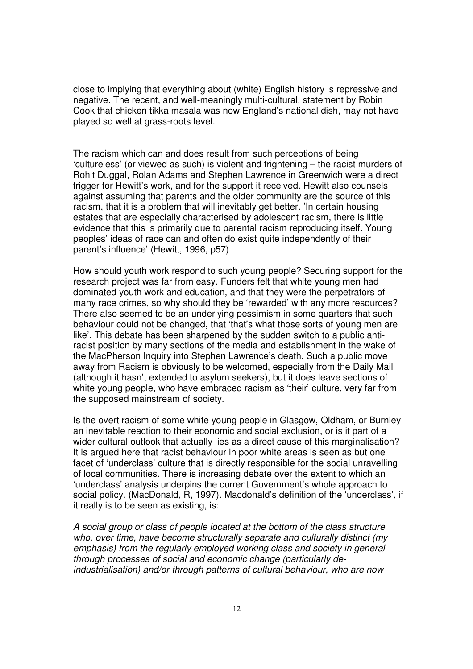close to implying that everything about (white) English history is repressive and negative. The recent, and well-meaningly multi-cultural, statement by Robin Cook that chicken tikka masala was now England's national dish, may not have played so well at grass-roots level.

The racism which can and does result from such perceptions of being 'cultureless' (or viewed as such) is violent and frightening – the racist murders of Rohit Duggal, Rolan Adams and Stephen Lawrence in Greenwich were a direct trigger for Hewitt's work, and for the support it received. Hewitt also counsels against assuming that parents and the older community are the source of this racism, that it is a problem that will inevitably get better. 'In certain housing estates that are especially characterised by adolescent racism, there is little evidence that this is primarily due to parental racism reproducing itself. Young peoples' ideas of race can and often do exist quite independently of their parent's influence' (Hewitt, 1996, p57)

How should youth work respond to such young people? Securing support for the research project was far from easy. Funders felt that white young men had dominated youth work and education, and that they were the perpetrators of many race crimes, so why should they be 'rewarded' with any more resources? There also seemed to be an underlying pessimism in some quarters that such behaviour could not be changed, that 'that's what those sorts of young men are like'. This debate has been sharpened by the sudden switch to a public antiracist position by many sections of the media and establishment in the wake of the MacPherson Inquiry into Stephen Lawrence's death. Such a public move away from Racism is obviously to be welcomed, especially from the Daily Mail (although it hasn't extended to asylum seekers), but it does leave sections of white young people, who have embraced racism as 'their' culture, very far from the supposed mainstream of society.

Is the overt racism of some white young people in Glasgow, Oldham, or Burnley an inevitable reaction to their economic and social exclusion, or is it part of a wider cultural outlook that actually lies as a direct cause of this marginalisation? It is argued here that racist behaviour in poor white areas is seen as but one facet of 'underclass' culture that is directly responsible for the social unravelling of local communities. There is increasing debate over the extent to which an 'underclass' analysis underpins the current Government's whole approach to social policy. (MacDonald, R, 1997). Macdonald's definition of the 'underclass', if it really is to be seen as existing, is:

A social group or class of people located at the bottom of the class structure who, over time, have become structurally separate and culturally distinct (my emphasis) from the regularly employed working class and society in general through processes of social and economic change (particularly deindustrialisation) and/or through patterns of cultural behaviour, who are now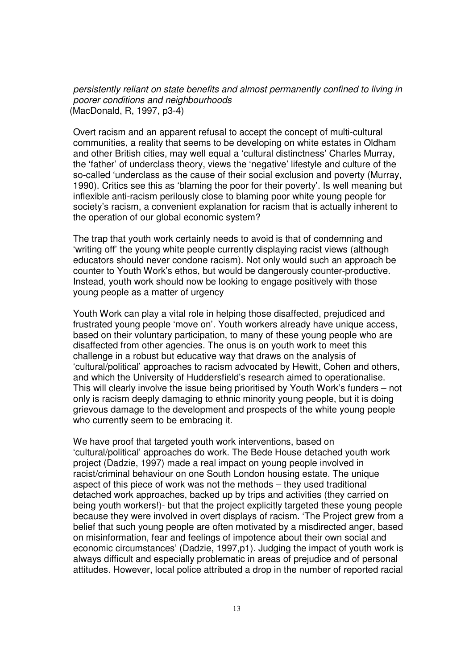persistently reliant on state benefits and almost permanently confined to living in poorer conditions and neighbourhoods (MacDonald, R, 1997, p3-4)

Overt racism and an apparent refusal to accept the concept of multi-cultural communities, a reality that seems to be developing on white estates in Oldham and other British cities, may well equal a 'cultural distinctness' Charles Murray, the 'father' of underclass theory, views the 'negative' lifestyle and culture of the so-called 'underclass as the cause of their social exclusion and poverty (Murray, 1990). Critics see this as 'blaming the poor for their poverty'. Is well meaning but inflexible anti-racism perilously close to blaming poor white young people for society's racism, a convenient explanation for racism that is actually inherent to the operation of our global economic system?

The trap that youth work certainly needs to avoid is that of condemning and 'writing off' the young white people currently displaying racist views (although educators should never condone racism). Not only would such an approach be counter to Youth Work's ethos, but would be dangerously counter-productive. Instead, youth work should now be looking to engage positively with those young people as a matter of urgency

Youth Work can play a vital role in helping those disaffected, prejudiced and frustrated young people 'move on'. Youth workers already have unique access, based on their voluntary participation, to many of these young people who are disaffected from other agencies. The onus is on youth work to meet this challenge in a robust but educative way that draws on the analysis of 'cultural/political' approaches to racism advocated by Hewitt, Cohen and others, and which the University of Huddersfield's research aimed to operationalise. This will clearly involve the issue being prioritised by Youth Work's funders – not only is racism deeply damaging to ethnic minority young people, but it is doing grievous damage to the development and prospects of the white young people who currently seem to be embracing it.

We have proof that targeted youth work interventions, based on 'cultural/political' approaches do work. The Bede House detached youth work project (Dadzie, 1997) made a real impact on young people involved in racist/criminal behaviour on one South London housing estate. The unique aspect of this piece of work was not the methods – they used traditional detached work approaches, backed up by trips and activities (they carried on being youth workers!)- but that the project explicitly targeted these young people because they were involved in overt displays of racism. 'The Project grew from a belief that such young people are often motivated by a misdirected anger, based on misinformation, fear and feelings of impotence about their own social and economic circumstances' (Dadzie, 1997,p1). Judging the impact of youth work is always difficult and especially problematic in areas of prejudice and of personal attitudes. However, local police attributed a drop in the number of reported racial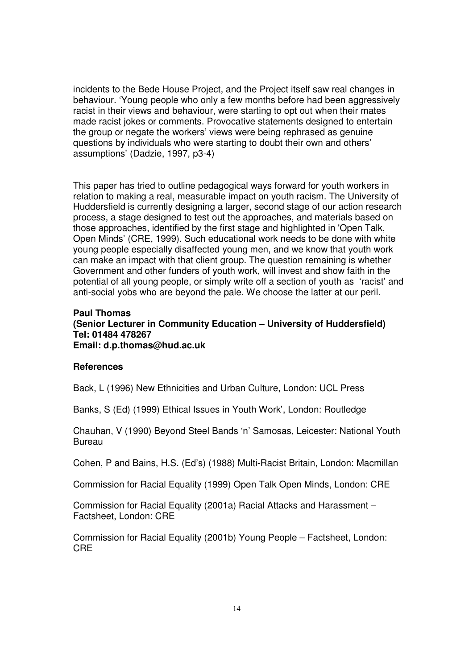incidents to the Bede House Project, and the Project itself saw real changes in behaviour. 'Young people who only a few months before had been aggressively racist in their views and behaviour, were starting to opt out when their mates made racist jokes or comments. Provocative statements designed to entertain the group or negate the workers' views were being rephrased as genuine questions by individuals who were starting to doubt their own and others' assumptions' (Dadzie, 1997, p3-4)

This paper has tried to outline pedagogical ways forward for youth workers in relation to making a real, measurable impact on youth racism. The University of Huddersfield is currently designing a larger, second stage of our action research process, a stage designed to test out the approaches, and materials based on those approaches, identified by the first stage and highlighted in 'Open Talk, Open Minds' (CRE, 1999). Such educational work needs to be done with white young people especially disaffected young men, and we know that youth work can make an impact with that client group. The question remaining is whether Government and other funders of youth work, will invest and show faith in the potential of all young people, or simply write off a section of youth as 'racist' and anti-social yobs who are beyond the pale. We choose the latter at our peril.

#### **Paul Thomas (Senior Lecturer in Community Education – University of Huddersfield) Tel: 01484 478267 Email: d.p.thomas@hud.ac.uk**

#### **References**

Back, L (1996) New Ethnicities and Urban Culture, London: UCL Press

Banks, S (Ed) (1999) Ethical Issues in Youth Work', London: Routledge

Chauhan, V (1990) Beyond Steel Bands 'n' Samosas, Leicester: National Youth **Bureau** 

Cohen, P and Bains, H.S. (Ed's) (1988) Multi-Racist Britain, London: Macmillan

Commission for Racial Equality (1999) Open Talk Open Minds, London: CRE

Commission for Racial Equality (2001a) Racial Attacks and Harassment – Factsheet, London: CRE

Commission for Racial Equality (2001b) Young People – Factsheet, London: CRE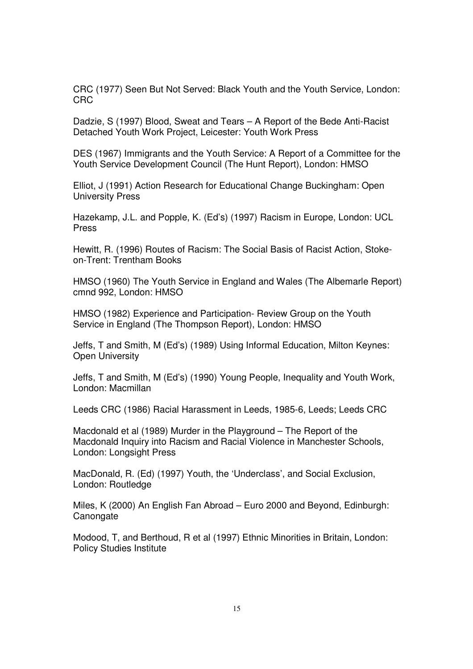CRC (1977) Seen But Not Served: Black Youth and the Youth Service, London: CRC

Dadzie, S (1997) Blood, Sweat and Tears – A Report of the Bede Anti-Racist Detached Youth Work Project, Leicester: Youth Work Press

DES (1967) Immigrants and the Youth Service: A Report of a Committee for the Youth Service Development Council (The Hunt Report), London: HMSO

Elliot, J (1991) Action Research for Educational Change Buckingham: Open University Press

Hazekamp, J.L. and Popple, K. (Ed's) (1997) Racism in Europe, London: UCL Press

Hewitt, R. (1996) Routes of Racism: The Social Basis of Racist Action, Stokeon-Trent: Trentham Books

HMSO (1960) The Youth Service in England and Wales (The Albemarle Report) cmnd 992, London: HMSO

HMSO (1982) Experience and Participation- Review Group on the Youth Service in England (The Thompson Report), London: HMSO

Jeffs, T and Smith, M (Ed's) (1989) Using Informal Education, Milton Keynes: Open University

Jeffs, T and Smith, M (Ed's) (1990) Young People, Inequality and Youth Work, London: Macmillan

Leeds CRC (1986) Racial Harassment in Leeds, 1985-6, Leeds; Leeds CRC

Macdonald et al (1989) Murder in the Playground – The Report of the Macdonald Inquiry into Racism and Racial Violence in Manchester Schools, London: Longsight Press

MacDonald, R. (Ed) (1997) Youth, the 'Underclass', and Social Exclusion, London: Routledge

Miles, K (2000) An English Fan Abroad – Euro 2000 and Beyond, Edinburgh: **Canongate** 

Modood, T, and Berthoud, R et al (1997) Ethnic Minorities in Britain, London: Policy Studies Institute